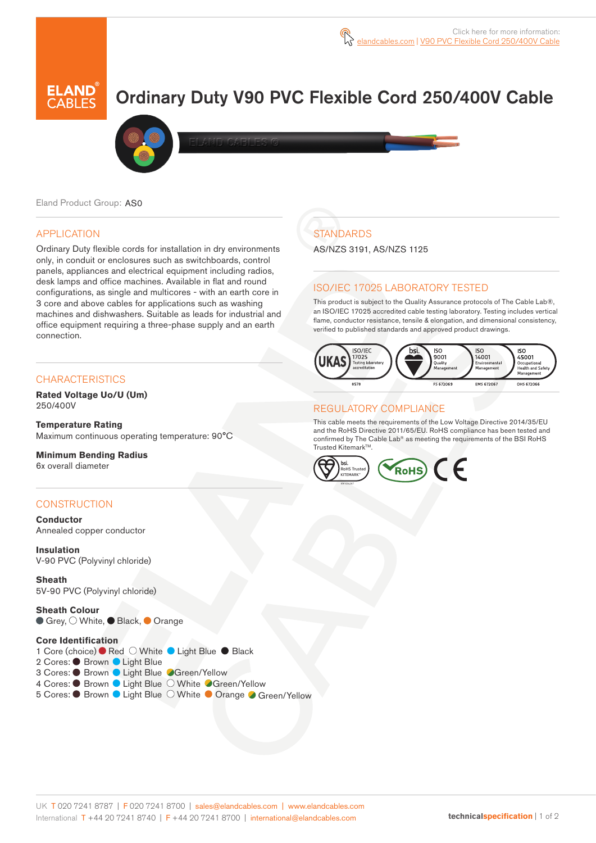# Ordinary Duty V90 PVC Flexible Cord 250/400V Cable



Eland Product Group: AS0

## APPLICATION

Ordinary Duty flexible cords for installation in dry environments only, in conduit or enclosures such as switchboards, control panels, appliances and electrical equipment including radios, desk lamps and office machines. Available in flat and round configurations, as single and multicores - with an earth core in 3 core and above cables for applications such as washing machines and dishwashers. Suitable as leads for industrial and office equipment requiring a three-phase supply and an earth connection.

## **CHARACTERISTICS**

**Rated Voltage Uo/U (Um)**  250/400V

**Temperature Rating** Maximum continuous operating temperature: 90°C

**Minimum Bending Radius**  6x overall diameter

## **CONSTRUCTION**

**Conductor** Annealed copper conductor

**Insulation** V-90 PVC (Polyvinyl chloride)

**Sheath** 5V-90 PVC (Polyvinyl chloride)

**Sheath Colour** ● Grey,  $\bigcirc$  White, ● Black, ● Orange

#### **Core Identification**

1 Core (choice) ● Red ○ White ● Light Blue ● Black 2 Cores: ● Brown ● Light Blue 3 Cores: ● Brown ● Light Blue ● Green/Yellow 4 Cores: C Brown C Light Blue O White C Green/Yellow 5 Cores: C Brown C Light Blue O White C Orange C Green/Yellow

## **STANDARDS**

AS/NZS 3191, AS/NZS 1125

## ISO/IEC 17025 LABORATORY TESTED

This product is subject to the Quality Assurance protocols of The Cable Lab®, an ISO/IEC 17025 accredited cable testing laboratory. Testing includes vertical flame, conductor resistance, tensile & elongation, and dimensional consistency, verified to published standards and approved product drawings.



## REGULATORY COMPLIANCE

This cable meets the requirements of the Low Voltage Directive 2014/35/EU and the RoHS Directive 2011/65/EU. RoHS compliance has been tested and confirmed by The Cable Lab® as meeting the requirements of the BSI RoHS Trusted Kitemark™